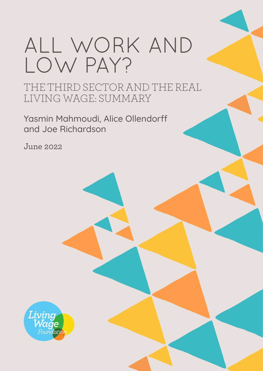# ALL WORK AND LOW PAY?

THE THIRD SECTOR AND THE REAL LIVING WAGE: SUMMARY

Yasmin Mahmoudi, Alice Ollendorff and Joe Richardson

June 2022

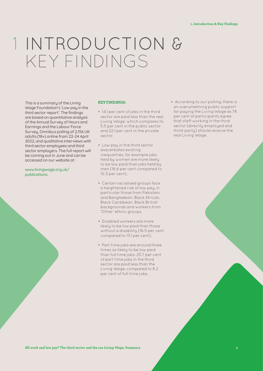## INTRODUCTION & 1KEY FINDINGS

This is a summary of the Living Wage Foundation's 'Low pay in the third sector report'. The findings are based on quantitative analysis of the Annual Survey of Hours and Earnings and the Labour Force Survey, Omnibus polling of 2,156 UK adults (18+) online from 22-24 April 2022, and qualitative interviews with third sector employees and third sector employers. The full report will be coming out in June and can be accessed on our website at :

#### www.livingwage.org.uk/ publications.

#### **KEY FINDINGS:**

- 14.1 per cent of jobs in the third sector are paid less than the real Living Wage, which compares to 5.5 per cent in the public sector and 22.1 per cent in the private sector.
- Low pay in the third sector exacerbates existing inequalities, for example jobs held by women are more likely to be low paid than jobs held by men (16.6 per cent compared to 10.3 per cent).
- Certain racialised groups face a heightened risk of low pay, in particular those from Pakistani and Bangladeshi, Black African, Black Caribbean, Black British backgrounds and workers from 'Other' ethnic groups.
- Disabled workers are more likely to be low paid than those without a disability (16.5 per cent compared to 13.1 per cent).
- Part time jobs are around three times as likely to be low paid than full time jobs. 25.7 per cent of part time jobs in the third sector are paid less than the Living Wage, compared to 8.2 per cent of full-time jobs.

• According to our polling, there is an overwhelming public support for paying the Living Wage as 78 per cent of participants agree that staff working in the third sector (directly employed and third-party) should receive the real Living Wage.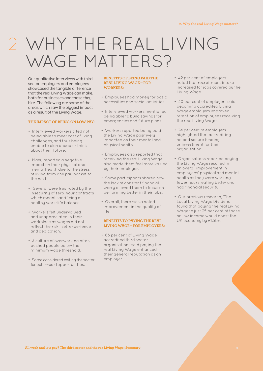### WHY THE REAL LIVING 2 WAGE MATTERS?

Our qualitative interviews with third sector employers and employees showcased the tangible difference that the real Living Wage can make, both for businesses and those they hire. The following are some of the areas which saw the biggest impact as a result of the Living Wage.

#### **THE IMPACT OF BEING ON LOW PAY:**

- Interviewed workers cited not being able to meet cost of living challenges, and thus being unable to plan ahead or think about their future.
- Many reported a negative impact on their physical and mental health due to the stress of living from one pay packet to the next.
- Several were frustrated by the insecurity of zero-hour contracts which meant sacrificing a healthy work-life balance.
- Workers felt undervalued and unappreciated in their workplace as wages did not reflect their skillset, experience and dedication.
- A culture of overworking often pushed people below the minimum wage threshold.
- Some considered exiting the sector for better-paid opportunities.

#### **BENEFITS OF BEING PAID THE REAL LIVING WAGE – FOR WORKERS:**

- Employees had money for basic necessities and social activities.
- Interviewed workers mentioned being able to build savings for emergencies and future plans.
- Workers reported being paid the Living Wage positively impacted on their mental and physical health.
- Employees also reported that receiving the real Living Wage also made them feel more valued by their employer.
- Some participants shared how the lack of constant financial worry allowed them to focus on performing better in their jobs.
- Overall, there was a noted improvement in the quality of life.

#### **BENEFITS TO PAYING THE REAL LIVING WAGE – FOR EMPLOYERS:**

• 68 per cent of Living Wage accredited third sector organisations said paying the real Living Wage enhanced their general reputation as an employer.

- 42 per cent of employers noted that recruitment intake increased for jobs covered by the Living Wage.
- 40 per cent of employers said becoming accredited Living Wage employers improved retention of employees receiving the real Living Wage.
- 24 per cent of employers highlighted that accrediting helped secure funding or investment for their organisation.
- Organisations reported paying the Living Wage resulted in an overall improvement in employees' physical and mental health as they were working fewer hours, eating better and had financial security.
- Our previous research, 'The Local Living Wage Dividend' found that paying the real Living Wage to just 25 per cent of those on low income would boost the UK economy by £1.5bn.